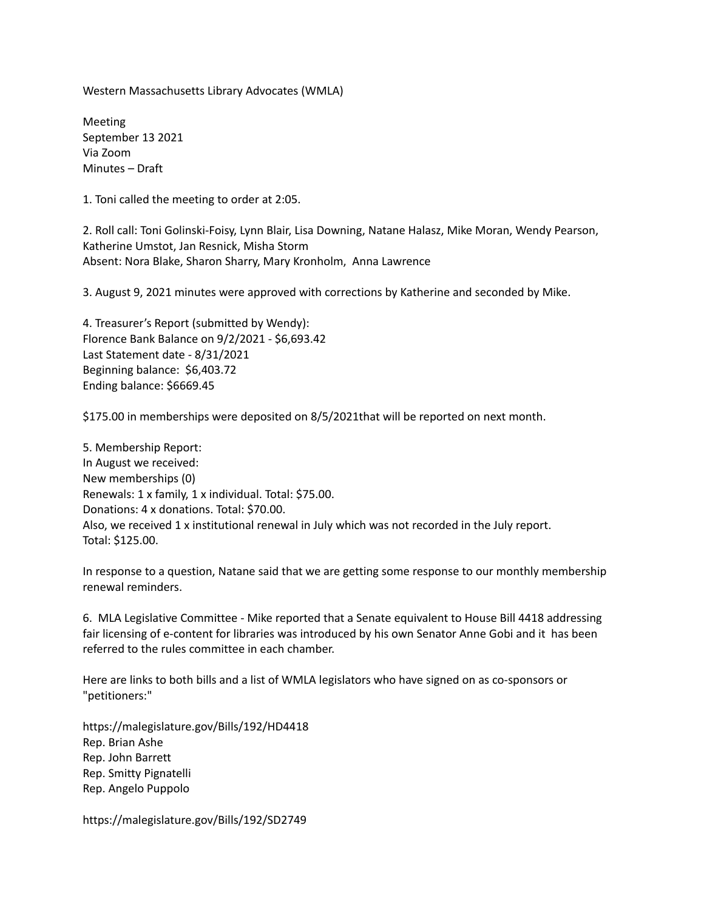Western Massachusetts Library Advocates (WMLA)

Meeting September 13 2021 Via Zoom Minutes – Draft

1. Toni called the meeting to order at 2:05.

2. Roll call: Toni Golinski-Foisy, Lynn Blair, Lisa Downing, Natane Halasz, Mike Moran, Wendy Pearson, Katherine Umstot, Jan Resnick, Misha Storm Absent: Nora Blake, Sharon Sharry, Mary Kronholm, Anna Lawrence

3. August 9, 2021 minutes were approved with corrections by Katherine and seconded by Mike.

4. Treasurer's Report (submitted by Wendy): Florence Bank Balance on 9/2/2021 - \$6,693.42 Last Statement date - 8/31/2021 Beginning balance: \$6,403.72 Ending balance: \$6669.45

\$175.00 in memberships were deposited on 8/5/2021that will be reported on next month.

5. Membership Report: In August we received: New memberships (0) Renewals: 1 x family, 1 x individual. Total: \$75.00. Donations: 4 x donations. Total: \$70.00. Also, we received 1 x institutional renewal in July which was not recorded in the July report. Total: \$125.00.

In response to a question, Natane said that we are getting some response to our monthly membership renewal reminders.

6. MLA Legislative Committee - Mike reported that a Senate equivalent to House Bill 4418 addressing fair licensing of e-content for libraries was introduced by his own Senator Anne Gobi and it has been referred to the rules committee in each chamber.

Here are links to both bills and a list of WMLA legislators who have signed on as co-sponsors or "petitioners:"

https://malegislature.gov/Bills/192/HD4418 Rep. Brian Ashe Rep. John Barrett Rep. Smitty Pignatelli Rep. Angelo Puppolo

https://malegislature.gov/Bills/192/SD2749